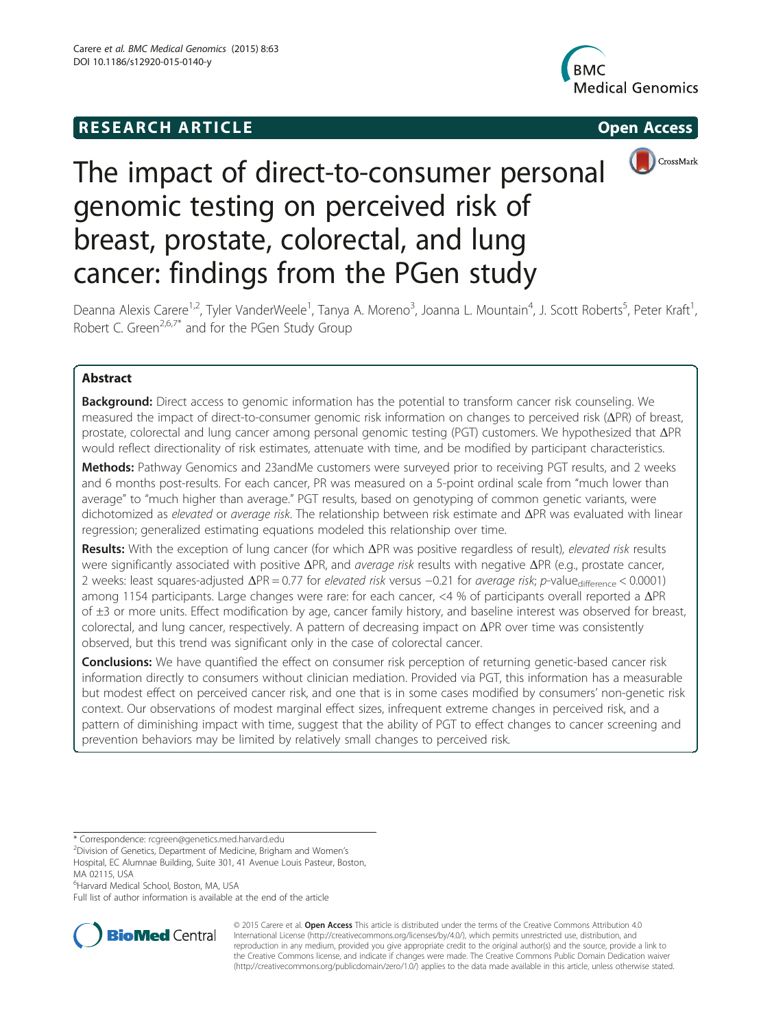## **RESEARCH ARTICLE Example 2014 Open Access**





# The impact of direct-to-consumer personal genomic testing on perceived risk of breast, prostate, colorectal, and lung cancer: findings from the PGen study

Deanna Alexis Carere<sup>1,2</sup>, Tyler VanderWeele<sup>1</sup>, Tanya A. Moreno<sup>3</sup>, Joanna L. Mountain<sup>4</sup>, J. Scott Roberts<sup>5</sup>, Peter Kraft<sup>1</sup> , Robert C. Green<sup>2,6,7\*</sup> and for the PGen Study Group

## Abstract

Background: Direct access to genomic information has the potential to transform cancer risk counseling. We measured the impact of direct-to-consumer genomic risk information on changes to perceived risk (ΔPR) of breast, prostate, colorectal and lung cancer among personal genomic testing (PGT) customers. We hypothesized that ΔPR would reflect directionality of risk estimates, attenuate with time, and be modified by participant characteristics.

Methods: Pathway Genomics and 23andMe customers were surveyed prior to receiving PGT results, and 2 weeks and 6 months post-results. For each cancer, PR was measured on a 5-point ordinal scale from "much lower than average" to "much higher than average." PGT results, based on genotyping of common genetic variants, were dichotomized as elevated or average risk. The relationship between risk estimate and ΔPR was evaluated with linear regression; generalized estimating equations modeled this relationship over time.

Results: With the exception of lung cancer (for which ΔPR was positive regardless of result), elevated risk results were significantly associated with positive ΔPR, and *average risk* results with negative ΔPR (e.g., prostate cancer, 2 weeks: least squares-adjusted ΔPR = 0.77 for elevated risk versus −0.21 for average risk; p-value<sub>difference</sub> < 0.0001) among 1154 participants. Large changes were rare: for each cancer, <4 % of participants overall reported a ΔPR of  $\pm 3$  or more units. Effect modification by age, cancer family history, and baseline interest was observed for breast, colorectal, and lung cancer, respectively. A pattern of decreasing impact on ΔPR over time was consistently observed, but this trend was significant only in the case of colorectal cancer.

**Conclusions:** We have quantified the effect on consumer risk perception of returning genetic-based cancer risk information directly to consumers without clinician mediation. Provided via PGT, this information has a measurable but modest effect on perceived cancer risk, and one that is in some cases modified by consumers' non-genetic risk context. Our observations of modest marginal effect sizes, infrequent extreme changes in perceived risk, and a pattern of diminishing impact with time, suggest that the ability of PGT to effect changes to cancer screening and prevention behaviors may be limited by relatively small changes to perceived risk.

6 Harvard Medical School, Boston, MA, USA

Full list of author information is available at the end of the article



© 2015 Carere et al. Open Access This article is distributed under the terms of the Creative Commons Attribution 4.0 International License [\(http://creativecommons.org/licenses/by/4.0/](http://creativecommons.org/licenses/by/4.0/)), which permits unrestricted use, distribution, and reproduction in any medium, provided you give appropriate credit to the original author(s) and the source, provide a link to the Creative Commons license, and indicate if changes were made. The Creative Commons Public Domain Dedication waiver [\(http://creativecommons.org/publicdomain/zero/1.0/](http://creativecommons.org/publicdomain/zero/1.0/)) applies to the data made available in this article, unless otherwise stated.

<sup>\*</sup> Correspondence: [rcgreen@genetics.med.harvard.edu](mailto:rcgreen@genetics.med.harvard.edu) <sup>2</sup>

Division of Genetics, Department of Medicine, Brigham and Women's

Hospital, EC Alumnae Building, Suite 301, 41 Avenue Louis Pasteur, Boston, MA 02115, USA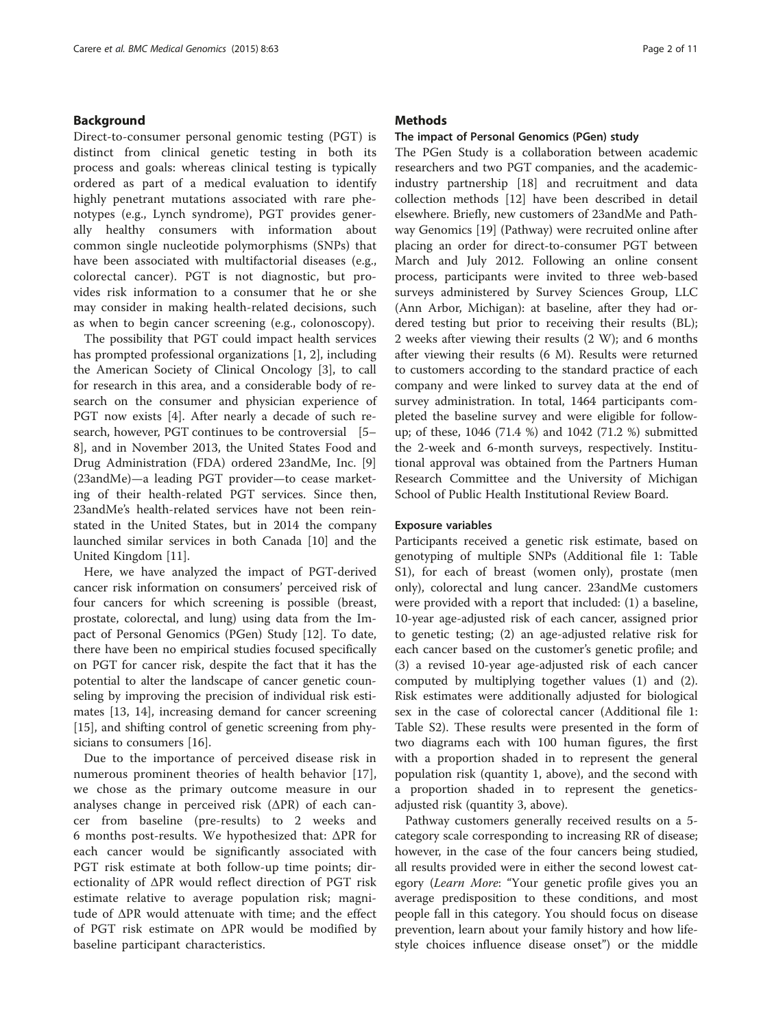#### Background

Direct-to-consumer personal genomic testing (PGT) is distinct from clinical genetic testing in both its process and goals: whereas clinical testing is typically ordered as part of a medical evaluation to identify highly penetrant mutations associated with rare phenotypes (e.g., Lynch syndrome), PGT provides generally healthy consumers with information about common single nucleotide polymorphisms (SNPs) that have been associated with multifactorial diseases (e.g., colorectal cancer). PGT is not diagnostic, but provides risk information to a consumer that he or she may consider in making health-related decisions, such as when to begin cancer screening (e.g., colonoscopy).

The possibility that PGT could impact health services has prompted professional organizations [\[1](#page-9-0), [2](#page-9-0)], including the American Society of Clinical Oncology [[3\]](#page-9-0), to call for research in this area, and a considerable body of research on the consumer and physician experience of PGT now exists [\[4](#page-9-0)]. After nearly a decade of such re-search, however, PGT continues to be controversial [[5](#page-9-0)– [8\]](#page-9-0), and in November 2013, the United States Food and Drug Administration (FDA) ordered 23andMe, Inc. [\[9](#page-9-0)] (23andMe)—a leading PGT provider—to cease marketing of their health-related PGT services. Since then, 23andMe's health-related services have not been reinstated in the United States, but in 2014 the company launched similar services in both Canada [[10](#page-9-0)] and the United Kingdom [\[11](#page-9-0)].

Here, we have analyzed the impact of PGT-derived cancer risk information on consumers' perceived risk of four cancers for which screening is possible (breast, prostate, colorectal, and lung) using data from the Impact of Personal Genomics (PGen) Study [[12](#page-9-0)]. To date, there have been no empirical studies focused specifically on PGT for cancer risk, despite the fact that it has the potential to alter the landscape of cancer genetic counseling by improving the precision of individual risk estimates [[13, 14\]](#page-9-0), increasing demand for cancer screening [[15\]](#page-9-0), and shifting control of genetic screening from physicians to consumers [[16\]](#page-9-0).

Due to the importance of perceived disease risk in numerous prominent theories of health behavior [\[17](#page-9-0)], we chose as the primary outcome measure in our analyses change in perceived risk  $(\Delta PR)$  of each cancer from baseline (pre-results) to 2 weeks and 6 months post-results. We hypothesized that: ΔPR for each cancer would be significantly associated with PGT risk estimate at both follow-up time points; directionality of ΔPR would reflect direction of PGT risk estimate relative to average population risk; magnitude of ΔPR would attenuate with time; and the effect of PGT risk estimate on ΔPR would be modified by baseline participant characteristics.

#### **Methods**

#### The impact of Personal Genomics (PGen) study

The PGen Study is a collaboration between academic researchers and two PGT companies, and the academicindustry partnership [\[18\]](#page-9-0) and recruitment and data collection methods [\[12\]](#page-9-0) have been described in detail elsewhere. Briefly, new customers of 23andMe and Pathway Genomics [\[19](#page-9-0)] (Pathway) were recruited online after placing an order for direct-to-consumer PGT between March and July 2012. Following an online consent process, participants were invited to three web-based surveys administered by Survey Sciences Group, LLC (Ann Arbor, Michigan): at baseline, after they had ordered testing but prior to receiving their results (BL); 2 weeks after viewing their results (2 W); and 6 months after viewing their results (6 M). Results were returned to customers according to the standard practice of each company and were linked to survey data at the end of survey administration. In total, 1464 participants completed the baseline survey and were eligible for followup; of these, 1046 (71.4 %) and 1042 (71.2 %) submitted the 2-week and 6-month surveys, respectively. Institutional approval was obtained from the Partners Human Research Committee and the University of Michigan School of Public Health Institutional Review Board.

#### Exposure variables

Participants received a genetic risk estimate, based on genotyping of multiple SNPs (Additional file [1](#page-9-0): Table S1), for each of breast (women only), prostate (men only), colorectal and lung cancer. 23andMe customers were provided with a report that included: (1) a baseline, 10-year age-adjusted risk of each cancer, assigned prior to genetic testing; (2) an age-adjusted relative risk for each cancer based on the customer's genetic profile; and (3) a revised 10-year age-adjusted risk of each cancer computed by multiplying together values (1) and (2). Risk estimates were additionally adjusted for biological sex in the case of colorectal cancer (Additional file [1](#page-9-0): Table S2). These results were presented in the form of two diagrams each with 100 human figures, the first with a proportion shaded in to represent the general population risk (quantity 1, above), and the second with a proportion shaded in to represent the geneticsadjusted risk (quantity 3, above).

Pathway customers generally received results on a 5 category scale corresponding to increasing RR of disease; however, in the case of the four cancers being studied, all results provided were in either the second lowest category (Learn More: "Your genetic profile gives you an average predisposition to these conditions, and most people fall in this category. You should focus on disease prevention, learn about your family history and how lifestyle choices influence disease onset") or the middle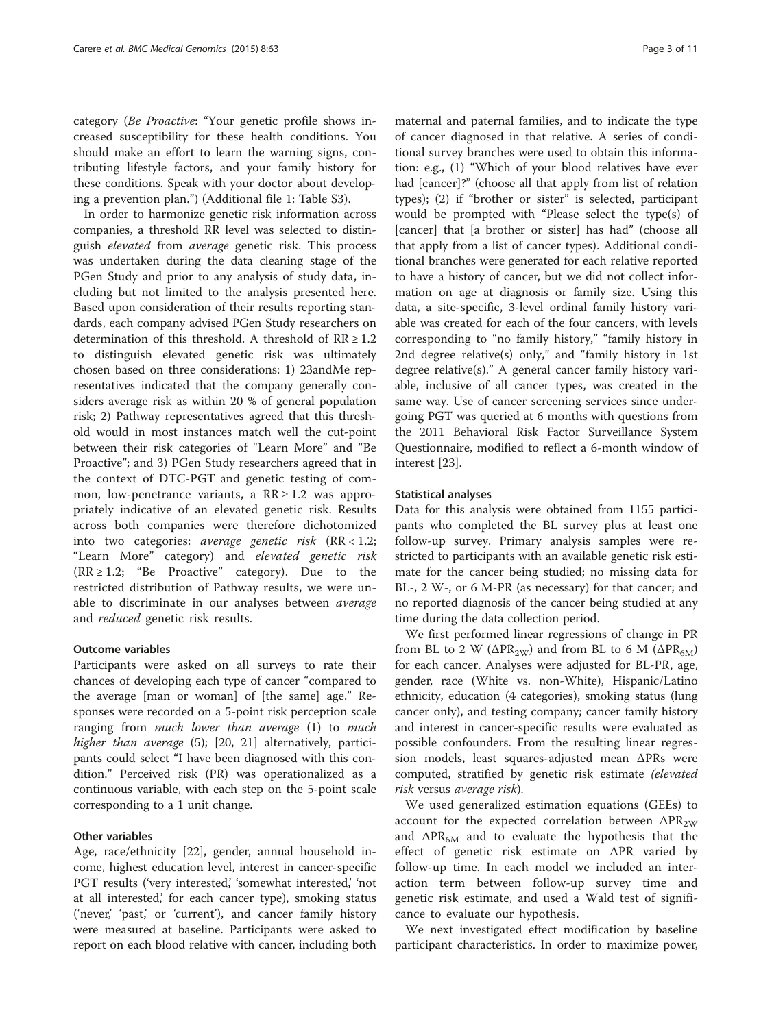category (Be Proactive: "Your genetic profile shows increased susceptibility for these health conditions. You should make an effort to learn the warning signs, contributing lifestyle factors, and your family history for these conditions. Speak with your doctor about developing a prevention plan.") (Additional file [1](#page-9-0): Table S3).

In order to harmonize genetic risk information across companies, a threshold RR level was selected to distinguish elevated from average genetic risk. This process was undertaken during the data cleaning stage of the PGen Study and prior to any analysis of study data, including but not limited to the analysis presented here. Based upon consideration of their results reporting standards, each company advised PGen Study researchers on determination of this threshold. A threshold of  $RR \ge 1.2$ to distinguish elevated genetic risk was ultimately chosen based on three considerations: 1) 23andMe representatives indicated that the company generally considers average risk as within 20 % of general population risk; 2) Pathway representatives agreed that this threshold would in most instances match well the cut-point between their risk categories of "Learn More" and "Be Proactive"; and 3) PGen Study researchers agreed that in the context of DTC-PGT and genetic testing of common, low-penetrance variants, a  $RR \geq 1.2$  was appropriately indicative of an elevated genetic risk. Results across both companies were therefore dichotomized into two categories: average genetic risk (RR < 1.2; "Learn More" category) and elevated genetic risk  $(RR \geq 1.2;$  "Be Proactive" category). Due to the restricted distribution of Pathway results, we were unable to discriminate in our analyses between average and reduced genetic risk results.

#### Outcome variables

Participants were asked on all surveys to rate their chances of developing each type of cancer "compared to the average [man or woman] of [the same] age." Responses were recorded on a 5-point risk perception scale ranging from much lower than average (1) to much higher than average (5); [[20, 21\]](#page-10-0) alternatively, participants could select "I have been diagnosed with this condition." Perceived risk (PR) was operationalized as a continuous variable, with each step on the 5-point scale corresponding to a 1 unit change.

#### Other variables

Age, race/ethnicity [\[22](#page-10-0)], gender, annual household income, highest education level, interest in cancer-specific PGT results ('very interested,' 'somewhat interested,' 'not at all interested,' for each cancer type), smoking status ('never,' 'past,' or 'current'), and cancer family history were measured at baseline. Participants were asked to report on each blood relative with cancer, including both

maternal and paternal families, and to indicate the type of cancer diagnosed in that relative. A series of conditional survey branches were used to obtain this information: e.g., (1) "Which of your blood relatives have ever had [cancer]?" (choose all that apply from list of relation types); (2) if "brother or sister" is selected, participant would be prompted with "Please select the type(s) of [cancer] that [a brother or sister] has had" (choose all that apply from a list of cancer types). Additional conditional branches were generated for each relative reported to have a history of cancer, but we did not collect information on age at diagnosis or family size. Using this data, a site-specific, 3-level ordinal family history variable was created for each of the four cancers, with levels corresponding to "no family history," "family history in 2nd degree relative(s) only," and "family history in 1st degree relative(s)." A general cancer family history variable, inclusive of all cancer types, was created in the same way. Use of cancer screening services since undergoing PGT was queried at 6 months with questions from the 2011 Behavioral Risk Factor Surveillance System Questionnaire, modified to reflect a 6-month window of interest [\[23](#page-10-0)].

#### Statistical analyses

Data for this analysis were obtained from 1155 participants who completed the BL survey plus at least one follow-up survey. Primary analysis samples were restricted to participants with an available genetic risk estimate for the cancer being studied; no missing data for BL-, 2 W-, or 6 M-PR (as necessary) for that cancer; and no reported diagnosis of the cancer being studied at any time during the data collection period.

We first performed linear regressions of change in PR from BL to 2 W ( $\Delta PR_{2W}$ ) and from BL to 6 M ( $\Delta PR_{6M}$ ) for each cancer. Analyses were adjusted for BL-PR, age, gender, race (White vs. non-White), Hispanic/Latino ethnicity, education (4 categories), smoking status (lung cancer only), and testing company; cancer family history and interest in cancer-specific results were evaluated as possible confounders. From the resulting linear regression models, least squares-adjusted mean ΔPRs were computed, stratified by genetic risk estimate (elevated risk versus average risk).

We used generalized estimation equations (GEEs) to account for the expected correlation between  $\Delta PR_{2W}$ and  $\Delta PR_{6M}$  and to evaluate the hypothesis that the effect of genetic risk estimate on ΔPR varied by follow-up time. In each model we included an interaction term between follow-up survey time and genetic risk estimate, and used a Wald test of significance to evaluate our hypothesis.

We next investigated effect modification by baseline participant characteristics. In order to maximize power,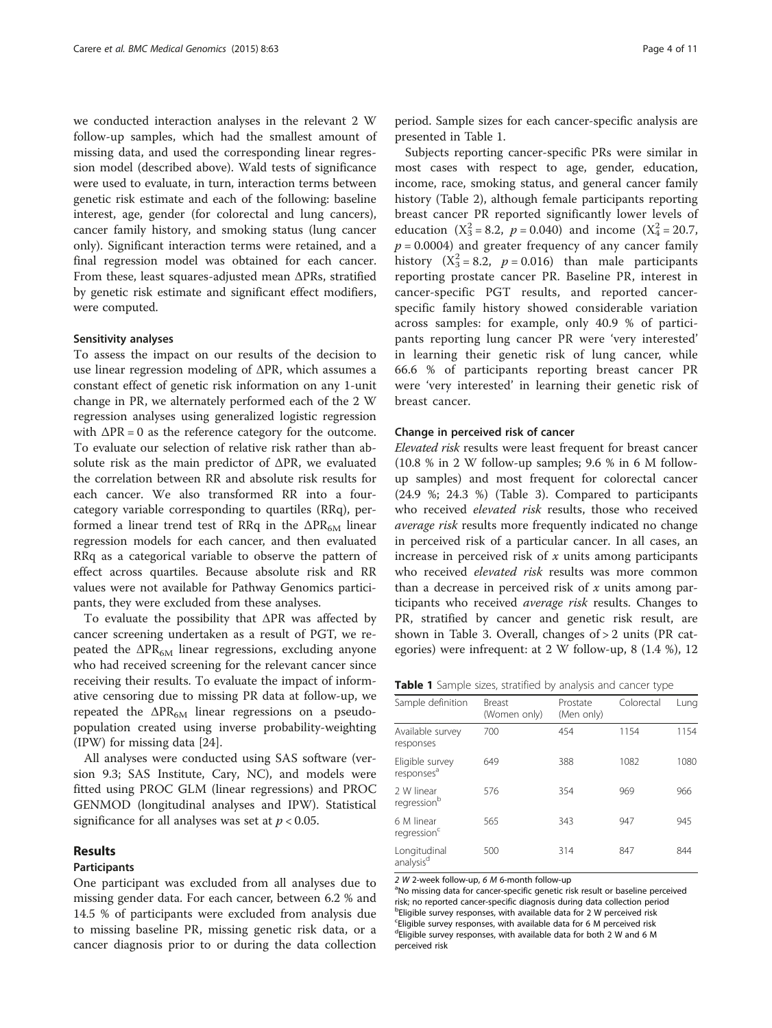we conducted interaction analyses in the relevant 2 W follow-up samples, which had the smallest amount of missing data, and used the corresponding linear regression model (described above). Wald tests of significance were used to evaluate, in turn, interaction terms between genetic risk estimate and each of the following: baseline interest, age, gender (for colorectal and lung cancers), cancer family history, and smoking status (lung cancer only). Significant interaction terms were retained, and a final regression model was obtained for each cancer. From these, least squares-adjusted mean ΔPRs, stratified by genetic risk estimate and significant effect modifiers, were computed.

#### Sensitivity analyses

To assess the impact on our results of the decision to use linear regression modeling of ΔPR, which assumes a constant effect of genetic risk information on any 1-unit change in PR, we alternately performed each of the 2 W regression analyses using generalized logistic regression with  $\Delta PR = 0$  as the reference category for the outcome. To evaluate our selection of relative risk rather than absolute risk as the main predictor of ΔPR, we evaluated the correlation between RR and absolute risk results for each cancer. We also transformed RR into a fourcategory variable corresponding to quartiles (RRq), performed a linear trend test of RRq in the  $\Delta PR_{6M}$  linear regression models for each cancer, and then evaluated RRq as a categorical variable to observe the pattern of effect across quartiles. Because absolute risk and RR values were not available for Pathway Genomics participants, they were excluded from these analyses.

To evaluate the possibility that ΔPR was affected by cancer screening undertaken as a result of PGT, we repeated the  $\Delta PR_{6M}$  linear regressions, excluding anyone who had received screening for the relevant cancer since receiving their results. To evaluate the impact of informative censoring due to missing PR data at follow-up, we repeated the  $\Delta PR_{6M}$  linear regressions on a pseudopopulation created using inverse probability-weighting (IPW) for missing data [\[24](#page-10-0)].

All analyses were conducted using SAS software (version 9.3; SAS Institute, Cary, NC), and models were fitted using PROC GLM (linear regressions) and PROC GENMOD (longitudinal analyses and IPW). Statistical significance for all analyses was set at  $p < 0.05$ .

#### Results

#### Participants

One participant was excluded from all analyses due to missing gender data. For each cancer, between 6.2 % and 14.5 % of participants were excluded from analysis due to missing baseline PR, missing genetic risk data, or a cancer diagnosis prior to or during the data collection period. Sample sizes for each cancer-specific analysis are presented in Table 1.

Subjects reporting cancer-specific PRs were similar in most cases with respect to age, gender, education, income, race, smoking status, and general cancer family history (Table [2](#page-4-0)), although female participants reporting breast cancer PR reported significantly lower levels of education ( $X_3^2 = 8.2$ ,  $p = 0.040$ ) and income ( $X_4^2 = 20.7$ ,  $p = 0.0004$ ) and greater frequency of any cancer family history  $(X_3^2 = 8.2, p = 0.016)$  than male participants reporting prostate cancer PR. Baseline PR, interest in cancer-specific PGT results, and reported cancerspecific family history showed considerable variation across samples: for example, only 40.9 % of participants reporting lung cancer PR were 'very interested' in learning their genetic risk of lung cancer, while 66.6 % of participants reporting breast cancer PR were 'very interested' in learning their genetic risk of breast cancer.

#### Change in perceived risk of cancer

Elevated risk results were least frequent for breast cancer (10.8 % in 2 W follow-up samples; 9.6 % in 6 M followup samples) and most frequent for colorectal cancer (24.9 %; 24.3 %) (Table [3\)](#page-5-0). Compared to participants who received *elevated risk* results, those who received average risk results more frequently indicated no change in perceived risk of a particular cancer. In all cases, an increase in perceived risk of  $x$  units among participants who received *elevated risk* results was more common than a decrease in perceived risk of  $x$  units among participants who received average risk results. Changes to PR, stratified by cancer and genetic risk result, are shown in Table [3](#page-5-0). Overall, changes of > 2 units (PR categories) were infrequent: at 2 W follow-up, 8 (1.4 %), 12

|  |  |  |  | Table 1 Sample sizes, stratified by analysis and cancer type |  |  |  |  |  |  |
|--|--|--|--|--------------------------------------------------------------|--|--|--|--|--|--|
|--|--|--|--|--------------------------------------------------------------|--|--|--|--|--|--|

| Sample definition                         | <b>Breast</b><br>(Women only) | Prostate<br>(Men only) | Colorectal | Lung |
|-------------------------------------------|-------------------------------|------------------------|------------|------|
| Available survey<br>responses             | 700                           | 454                    | 1154       | 1154 |
| Eligible survey<br>responses <sup>a</sup> | 649                           | 388                    | 1082       | 1080 |
| 2 W linear<br>regression <sup>b</sup>     | 576                           | 354                    | 969        | 966  |
| 6 M linear<br>regression <sup>c</sup>     | 565                           | 343                    | 947        | 945  |
| Longitudinal<br>analysis <sup>d</sup>     | 500                           | 314                    | 847        | 844  |

2 W 2-week follow-up, 6 M 6-month follow-up

<sup>a</sup>No missing data for cancer-specific genetic risk result or baseline perceived risk; no reported cancer-specific diagnosis during data collection period <sup>b</sup>Eligible survey responses, with available data for 2 W perceived risk <sup>c</sup>Eligible survey responses, with available data for 6 M perceived risk d Eligible survey responses, with available data for both 2 W and 6 M perceived risk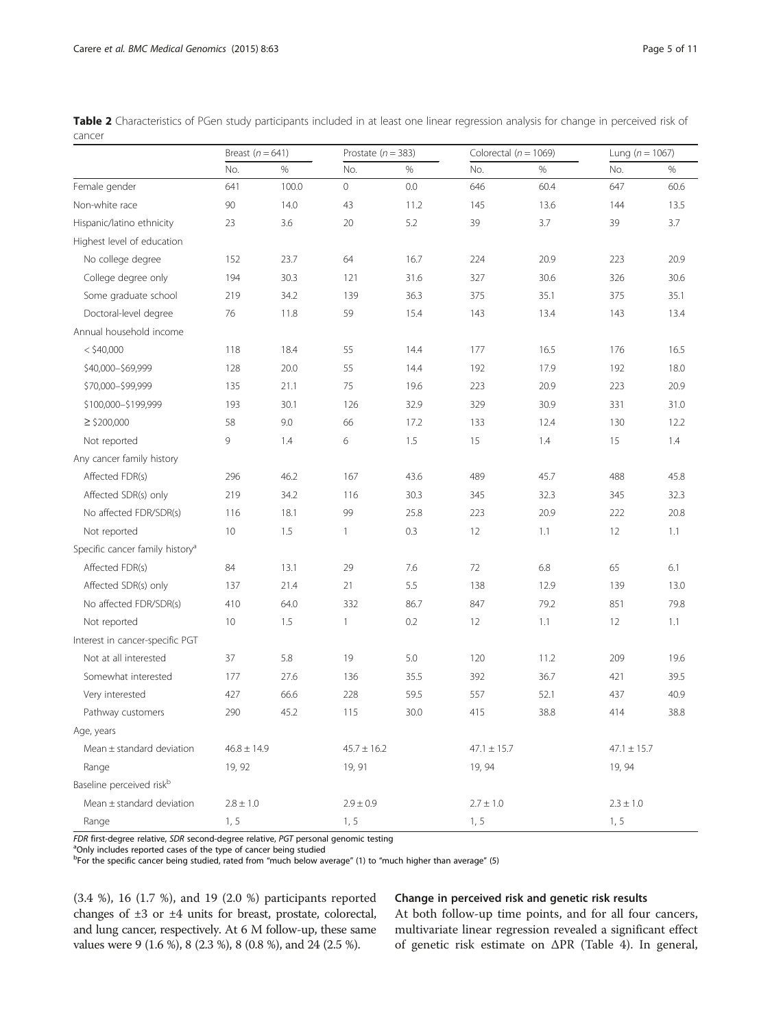|                                             | Breast ( $n = 641$ ) |       | Prostate ( $n = 383$ ) |      | Colorectal ( $n = 1069$ ) |      | Lung ( $n = 1067$ ) |      |
|---------------------------------------------|----------------------|-------|------------------------|------|---------------------------|------|---------------------|------|
|                                             | No.                  | $\%$  | No.                    | $\%$ | No.                       | $\%$ | No.                 | %    |
| Female gender                               | 641                  | 100.0 | $\overline{0}$         | 0.0  | 646                       | 60.4 | 647                 | 60.6 |
| Non-white race                              | 90                   | 14.0  | 43                     | 11.2 | 145                       | 13.6 | 144                 | 13.5 |
| Hispanic/latino ethnicity                   | 23                   | 3.6   | 20                     | 5.2  | 39                        | 3.7  | 39                  | 3.7  |
| Highest level of education                  |                      |       |                        |      |                           |      |                     |      |
| No college degree                           | 152                  | 23.7  | 64                     | 16.7 | 224                       | 20.9 | 223                 | 20.9 |
| College degree only                         | 194                  | 30.3  | 121                    | 31.6 | 327                       | 30.6 | 326                 | 30.6 |
| Some graduate school                        | 219                  | 34.2  | 139                    | 36.3 | 375                       | 35.1 | 375                 | 35.1 |
| Doctoral-level degree                       | 76                   | 11.8  | 59                     | 15.4 | 143                       | 13.4 | 143                 | 13.4 |
| Annual household income                     |                      |       |                        |      |                           |      |                     |      |
| $<$ \$40,000                                | 118                  | 18.4  | 55                     | 14.4 | 177                       | 16.5 | 176                 | 16.5 |
| \$40,000-\$69,999                           | 128                  | 20.0  | 55                     | 14.4 | 192                       | 17.9 | 192                 | 18.0 |
| \$70,000-\$99,999                           | 135                  | 21.1  | 75                     | 19.6 | 223                       | 20.9 | 223                 | 20.9 |
| \$100,000-\$199,999                         | 193                  | 30.1  | 126                    | 32.9 | 329                       | 30.9 | 331                 | 31.0 |
| $\geq$ \$200,000                            | 58                   | 9.0   | 66                     | 17.2 | 133                       | 12.4 | 130                 | 12.2 |
| Not reported                                | 9                    | 1.4   | 6                      | 1.5  | 15                        | 1.4  | 15                  | 1.4  |
| Any cancer family history                   |                      |       |                        |      |                           |      |                     |      |
| Affected FDR(s)                             | 296                  | 46.2  | 167                    | 43.6 | 489                       | 45.7 | 488                 | 45.8 |
| Affected SDR(s) only                        | 219                  | 34.2  | 116                    | 30.3 | 345                       | 32.3 | 345                 | 32.3 |
| No affected FDR/SDR(s)                      | 116                  | 18.1  | 99                     | 25.8 | 223                       | 20.9 | 222                 | 20.8 |
| Not reported                                | $10\,$               | 1.5   | $\mathbf{1}$           | 0.3  | 12                        | 1.1  | 12                  | 1.1  |
| Specific cancer family history <sup>a</sup> |                      |       |                        |      |                           |      |                     |      |
| Affected FDR(s)                             | 84                   | 13.1  | 29                     | 7.6  | 72                        | 6.8  | 65                  | 6.1  |
| Affected SDR(s) only                        | 137                  | 21.4  | 21                     | 5.5  | 138                       | 12.9 | 139                 | 13.0 |
| No affected FDR/SDR(s)                      | 410                  | 64.0  | 332                    | 86.7 | 847                       | 79.2 | 851                 | 79.8 |
| Not reported                                | 10 <sup>°</sup>      | 1.5   | $\mathbf{1}$           | 0.2  | 12                        | 1.1  | 12                  | 1.1  |
| Interest in cancer-specific PGT             |                      |       |                        |      |                           |      |                     |      |
| Not at all interested                       | 37                   | 5.8   | 19                     | 5.0  | 120                       | 11.2 | 209                 | 19.6 |
| Somewhat interested                         | 177                  | 27.6  | 136                    | 35.5 | 392                       | 36.7 | 421                 | 39.5 |
| Very interested                             | 427                  | 66.6  | 228                    | 59.5 | 557                       | 52.1 | 437                 | 40.9 |
| Pathway customers                           | 290                  | 45.2  | 115                    | 30.0 | 415                       | 38.8 | 414                 | 38.8 |
| Age, years                                  |                      |       |                        |      |                           |      |                     |      |
| Mean $\pm$ standard deviation               | $46.8 \pm 14.9$      |       | $45.7 \pm 16.2$        |      | $47.1 \pm 15.7$           |      | $47.1 \pm 15.7$     |      |
| Range                                       | 19, 92               |       | 19, 91                 |      | 19, 94                    |      | 19, 94              |      |
| Baseline perceived risk <sup>b</sup>        |                      |       |                        |      |                           |      |                     |      |
| Mean $\pm$ standard deviation               | $2.8 \pm 1.0$        |       | $2.9 \pm 0.9$          |      | $2.7 \pm 1.0$             |      | $2.3 \pm 1.0$       |      |
| Range                                       | 1, 5                 |       | 1, 5                   |      | 1, 5                      |      | 1, 5                |      |

<span id="page-4-0"></span>Table 2 Characteristics of PGen study participants included in at least one linear regression analysis for change in perceived risk of cancer

FDR first-degree relative, SDR second-degree relative, PGT personal genomic testing

<sup>a</sup>Only includes reported cases of the type of cancer being studied

<sup>b</sup>For the specific cancer being studied, rated from "much below average" (1) to "much higher than average" (5)

(3.4 %), 16 (1.7 %), and 19 (2.0 %) participants reported changes of ±3 or ±4 units for breast, prostate, colorectal, and lung cancer, respectively. At 6 M follow-up, these same values were 9 (1.6 %), 8 (2.3 %), 8 (0.8 %), and 24 (2.5 %).

### Change in perceived risk and genetic risk results

At both follow-up time points, and for all four cancers, multivariate linear regression revealed a significant effect of genetic risk estimate on ΔPR (Table [4](#page-5-0)). In general,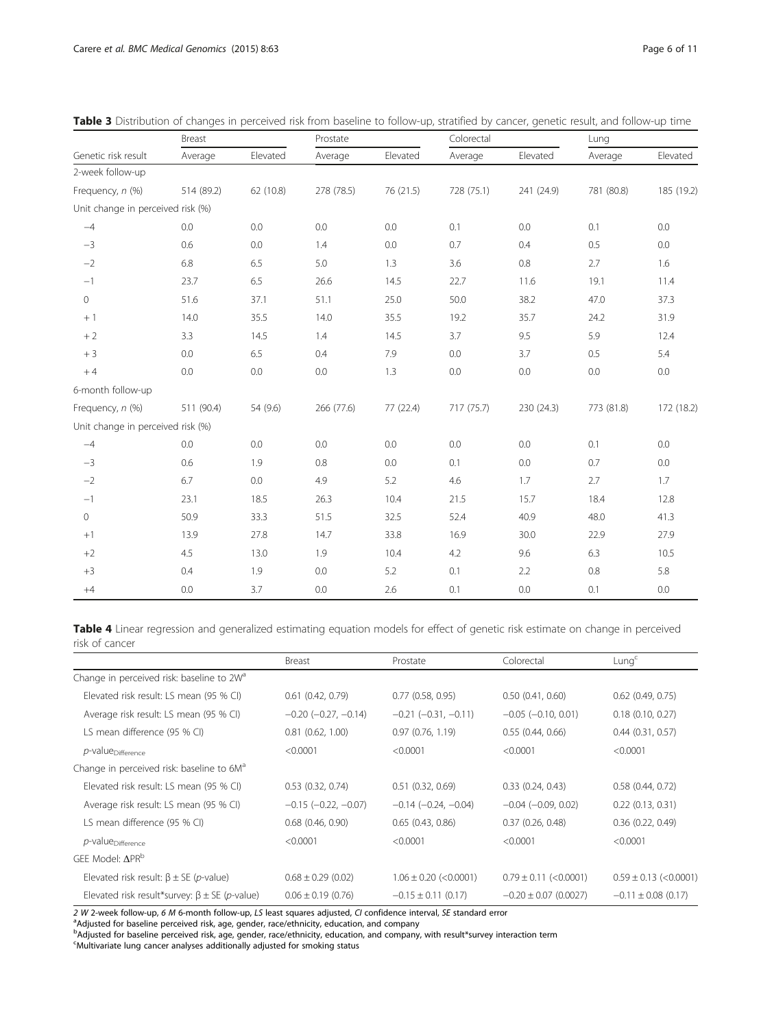|                                   | Breast     |           | Prostate   |           | Colorectal |            | Lung       |            |
|-----------------------------------|------------|-----------|------------|-----------|------------|------------|------------|------------|
| Genetic risk result               | Average    | Elevated  | Average    | Elevated  | Average    | Elevated   | Average    | Elevated   |
| 2-week follow-up                  |            |           |            |           |            |            |            |            |
| Frequency, n (%)                  | 514 (89.2) | 62 (10.8) | 278 (78.5) | 76 (21.5) | 728 (75.1) | 241 (24.9) | 781 (80.8) | 185 (19.2) |
| Unit change in perceived risk (%) |            |           |            |           |            |            |            |            |
| $-4$                              | 0.0        | 0.0       | 0.0        | 0.0       | 0.1        | 0.0        | 0.1        | 0.0        |
| $-3$                              | 0.6        | 0.0       | 1.4        | 0.0       | 0.7        | 0.4        | 0.5        | 0.0        |
| $-2$                              | 6.8        | 6.5       | 5.0        | 1.3       | 3.6        | 0.8        | 2.7        | 1.6        |
| $-1$                              | 23.7       | 6.5       | 26.6       | 14.5      | 22.7       | 11.6       | 19.1       | 11.4       |
| $\circ$                           | 51.6       | 37.1      | 51.1       | 25.0      | 50.0       | 38.2       | 47.0       | 37.3       |
| $+1$                              | 14.0       | 35.5      | 14.0       | 35.5      | 19.2       | 35.7       | 24.2       | 31.9       |
| $+2$                              | 3.3        | 14.5      | 1.4        | 14.5      | 3.7        | 9.5        | 5.9        | 12.4       |
| $+3$                              | 0.0        | 6.5       | 0.4        | 7.9       | 0.0        | 3.7        | 0.5        | 5.4        |
| $+4$                              | 0.0        | 0.0       | 0.0        | 1.3       | 0.0        | 0.0        | 0.0        | 0.0        |
| 6-month follow-up                 |            |           |            |           |            |            |            |            |
| Frequency, n (%)                  | 511 (90.4) | 54 (9.6)  | 266 (77.6) | 77 (22.4) | 717(75.7)  | 230 (24.3) | 773 (81.8) | 172 (18.2) |
| Unit change in perceived risk (%) |            |           |            |           |            |            |            |            |
| $-4$                              | 0.0        | 0.0       | 0.0        | 0.0       | 0.0        | 0.0        | 0.1        | 0.0        |
| $-3$                              | 0.6        | 1.9       | 0.8        | 0.0       | 0.1        | 0.0        | 0.7        | 0.0        |
| $-2$                              | 6.7        | 0.0       | 4.9        | 5.2       | 4.6        | 1.7        | 2.7        | 1.7        |
| $-1$                              | 23.1       | 18.5      | 26.3       | 10.4      | 21.5       | 15.7       | 18.4       | 12.8       |
| $\circ$                           | 50.9       | 33.3      | 51.5       | 32.5      | 52.4       | 40.9       | 48.0       | 41.3       |
| $+1$                              | 13.9       | 27.8      | 14.7       | 33.8      | 16.9       | 30.0       | 22.9       | 27.9       |
| $+2$                              | 4.5        | 13.0      | 1.9        | 10.4      | 4.2        | 9.6        | 6.3        | 10.5       |
| $+3$                              | 0.4        | 1.9       | 0.0        | 5.2       | 0.1        | 2.2        | 0.8        | 5.8        |
| $+4$                              | 0.0        | 3.7       | 0.0        | 2.6       | 0.1        | 0.0        | 0.1        | 0.0        |

<span id="page-5-0"></span>

Table 4 Linear regression and generalized estimating equation models for effect of genetic risk estimate on change in perceived risk of cancer

|                                                         | Breast                   | Prostate                      | Colorectal                | $L$ ung $c$               |
|---------------------------------------------------------|--------------------------|-------------------------------|---------------------------|---------------------------|
| Change in perceived risk: baseline to 2W <sup>a</sup>   |                          |                               |                           |                           |
| Elevated risk result: LS mean (95 % CI)                 | 0.61(0.42, 0.79)         | $0.77$ $(0.58, 0.95)$         | 0.50(0.41, 0.60)          | $0.62$ $(0.49, 0.75)$     |
| Average risk result: LS mean (95 % CI)                  | $-0.20$ $(-0.27, -0.14)$ | $-0.21$ $(-0.31, -0.11)$      | $-0.05$ $(-0.10, 0.01)$   | 0.18(0.10, 0.27)          |
| LS mean difference (95 % CI)                            | $0.81$ $(0.62, 1.00)$    | 0.97(0.76, 1.19)              | 0.55(0.44, 0.66)          | $0.44$ $(0.31, 0.57)$     |
| $p$ -value $_{\text{Difference}}$                       | < 0.0001                 | < 0.0001                      | < 0.0001                  | < 0.0001                  |
| Change in perceived risk: baseline to 6M <sup>a</sup>   |                          |                               |                           |                           |
| Elevated risk result: LS mean (95 % CI)                 | 0.53(0.32, 0.74)         | 0.51(0.32, 0.69)              | 0.33(0.24, 0.43)          | 0.58(0.44, 0.72)          |
| Average risk result: LS mean (95 % CI)                  | $-0.15$ $(-0.22, -0.07)$ | $-0.14$ ( $-0.24$ , $-0.04$ ) | $-0.04$ $(-0.09, 0.02)$   | 0.22(0.13, 0.31)          |
| LS mean difference (95 % CI)                            | $0.68$ $(0.46, 0.90)$    | 0.65(0.43, 0.86)              | 0.37(0.26, 0.48)          | 0.36(0.22, 0.49)          |
| p-value <sub>Difference</sub>                           | < 0.0001                 | < 0.0001                      | < 0.0001                  | < 0.0001                  |
| GFF Model: APR <sup>b</sup>                             |                          |                               |                           |                           |
| Elevated risk result: $\beta \pm SE$ ( <i>p</i> -value) | $0.68 \pm 0.29$ (0.02)   | $1.06 \pm 0.20$ (<0.0001)     | $0.79 \pm 0.11$ (<0.0001) | $0.59 \pm 0.13$ (<0.0001) |
| Elevated risk result*survey: $\beta \pm SE$ (p-value)   | $0.06 \pm 0.19$ (0.76)   | $-0.15 \pm 0.11$ (0.17)       | $-0.20 \pm 0.07$ (0.0027) | $-0.11 \pm 0.08$ (0.17)   |

2 W 2-week follow-up, 6 M 6-month follow-up, LS least squares adjusted, CI confidence interval, SE standard error<br><sup>a</sup>Adjusted for baseline perceived risk, age, gender, race/ethnicity, education, and company<br><sup>b</sup>Adjusted for

Multivariate lung cancer analyses additionally adjusted for smoking status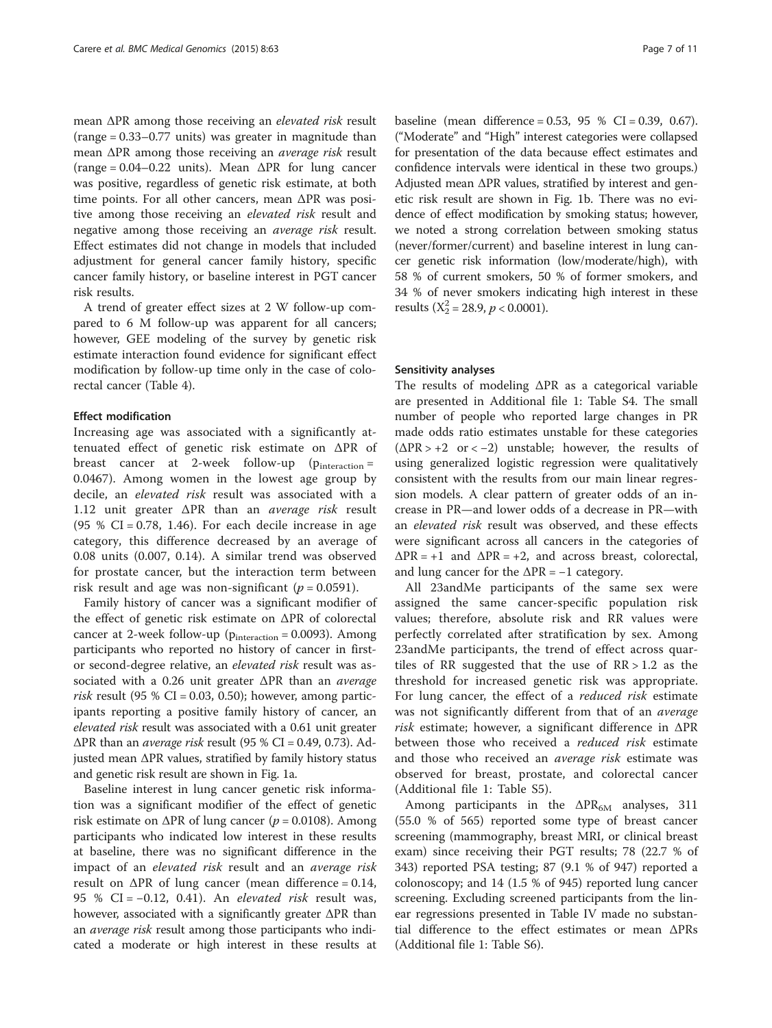mean ΔPR among those receiving an elevated risk result (range = 0.33–0.77 units) was greater in magnitude than mean ΔPR among those receiving an average risk result  $(range = 0.04 - 0.22 \text{ units})$ . Mean  $\Delta PR$  for lung cancer was positive, regardless of genetic risk estimate, at both time points. For all other cancers, mean ΔPR was positive among those receiving an *elevated risk* result and negative among those receiving an average risk result. Effect estimates did not change in models that included adjustment for general cancer family history, specific cancer family history, or baseline interest in PGT cancer risk results.

A trend of greater effect sizes at 2 W follow-up compared to 6 M follow-up was apparent for all cancers; however, GEE modeling of the survey by genetic risk estimate interaction found evidence for significant effect modification by follow-up time only in the case of colorectal cancer (Table [4](#page-5-0)).

#### Effect modification

Increasing age was associated with a significantly attenuated effect of genetic risk estimate on ΔPR of breast cancer at 2-week follow-up (pinteraction = 0.0467). Among women in the lowest age group by decile, an elevated risk result was associated with a 1.12 unit greater  $\Delta PR$  than an *average risk* result (95 % CI = 0.78, 1.46). For each decile increase in age category, this difference decreased by an average of 0.08 units (0.007, 0.14). A similar trend was observed for prostate cancer, but the interaction term between risk result and age was non-significant ( $p = 0.0591$ ).

Family history of cancer was a significant modifier of the effect of genetic risk estimate on ΔPR of colorectal cancer at 2-week follow-up ( $p_{interaction} = 0.0093$ ). Among participants who reported no history of cancer in firstor second-degree relative, an elevated risk result was associated with a 0.26 unit greater  $\Delta PR$  than an *average* risk result (95 % CI = 0.03, 0.50); however, among participants reporting a positive family history of cancer, an elevated risk result was associated with a 0.61 unit greater  $\Delta PR$  than an *average risk* result (95 % CI = 0.49, 0.73). Adjusted mean ΔPR values, stratified by family history status and genetic risk result are shown in Fig. [1a](#page-7-0).

Baseline interest in lung cancer genetic risk information was a significant modifier of the effect of genetic risk estimate on  $\Delta PR$  of lung cancer ( $p = 0.0108$ ). Among participants who indicated low interest in these results at baseline, there was no significant difference in the impact of an elevated risk result and an average risk result on  $\Delta PR$  of lung cancer (mean difference = 0.14, 95 % CI = −0.12, 0.41). An *elevated risk* result was, however, associated with a significantly greater  $\Delta PR$  than an *average risk* result among those participants who indicated a moderate or high interest in these results at

baseline (mean difference =  $0.53$ ,  $95 \%$  CI =  $0.39$ ,  $0.67$ ). ("Moderate" and "High" interest categories were collapsed for presentation of the data because effect estimates and confidence intervals were identical in these two groups.) Adjusted mean ΔPR values, stratified by interest and genetic risk result are shown in Fig. [1b.](#page-7-0) There was no evidence of effect modification by smoking status; however, we noted a strong correlation between smoking status (never/former/current) and baseline interest in lung cancer genetic risk information (low/moderate/high), with 58 % of current smokers, 50 % of former smokers, and 34 % of never smokers indicating high interest in these results  $(X_2^2 = 28.9, p < 0.0001)$ .

#### Sensitivity analyses

The results of modeling ΔPR as a categorical variable are presented in Additional file [1](#page-9-0): Table S4. The small number of people who reported large changes in PR made odds ratio estimates unstable for these categories  $(\Delta PR > +2$  or < -2) unstable; however, the results of using generalized logistic regression were qualitatively consistent with the results from our main linear regression models. A clear pattern of greater odds of an increase in PR—and lower odds of a decrease in PR—with an elevated risk result was observed, and these effects were significant across all cancers in the categories of  $\Delta PR = +1$  and  $\Delta PR = +2$ , and across breast, colorectal, and lung cancer for the  $\Delta PR = -1$  category.

All 23andMe participants of the same sex were assigned the same cancer-specific population risk values; therefore, absolute risk and RR values were perfectly correlated after stratification by sex. Among 23andMe participants, the trend of effect across quartiles of RR suggested that the use of  $RR > 1.2$  as the threshold for increased genetic risk was appropriate. For lung cancer, the effect of a *reduced risk* estimate was not significantly different from that of an average risk estimate; however, a significant difference in ΔPR between those who received a reduced risk estimate and those who received an average risk estimate was observed for breast, prostate, and colorectal cancer (Additional file [1:](#page-9-0) Table S5).

Among participants in the  $\Delta PR_{6M}$  analyses, 311 (55.0 % of 565) reported some type of breast cancer screening (mammography, breast MRI, or clinical breast exam) since receiving their PGT results; 78 (22.7 % of 343) reported PSA testing; 87 (9.1 % of 947) reported a colonoscopy; and 14 (1.5 % of 945) reported lung cancer screening. Excluding screened participants from the linear regressions presented in Table IV made no substantial difference to the effect estimates or mean ΔPRs (Additional file [1](#page-9-0): Table S6).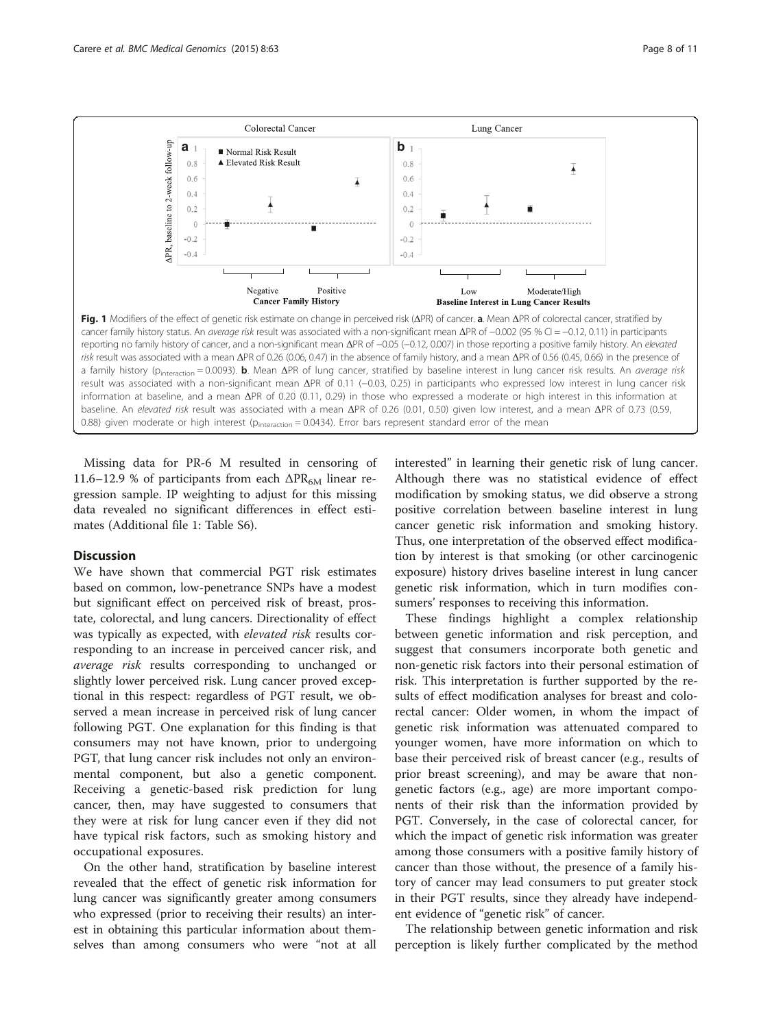<span id="page-7-0"></span>

Missing data for PR-6 M resulted in censoring of 11.6–12.9 % of participants from each  $\Delta PR_{6M}$  linear regression sample. IP weighting to adjust for this missing data revealed no significant differences in effect estimates (Additional file [1](#page-9-0): Table S6).

#### **Discussion**

We have shown that commercial PGT risk estimates based on common, low-penetrance SNPs have a modest but significant effect on perceived risk of breast, prostate, colorectal, and lung cancers. Directionality of effect was typically as expected, with elevated risk results corresponding to an increase in perceived cancer risk, and average risk results corresponding to unchanged or slightly lower perceived risk. Lung cancer proved exceptional in this respect: regardless of PGT result, we observed a mean increase in perceived risk of lung cancer following PGT. One explanation for this finding is that consumers may not have known, prior to undergoing PGT, that lung cancer risk includes not only an environmental component, but also a genetic component. Receiving a genetic-based risk prediction for lung cancer, then, may have suggested to consumers that they were at risk for lung cancer even if they did not have typical risk factors, such as smoking history and occupational exposures.

On the other hand, stratification by baseline interest revealed that the effect of genetic risk information for lung cancer was significantly greater among consumers who expressed (prior to receiving their results) an interest in obtaining this particular information about themselves than among consumers who were "not at all

interested" in learning their genetic risk of lung cancer. Although there was no statistical evidence of effect modification by smoking status, we did observe a strong positive correlation between baseline interest in lung cancer genetic risk information and smoking history. Thus, one interpretation of the observed effect modification by interest is that smoking (or other carcinogenic exposure) history drives baseline interest in lung cancer genetic risk information, which in turn modifies consumers' responses to receiving this information.

These findings highlight a complex relationship between genetic information and risk perception, and suggest that consumers incorporate both genetic and non-genetic risk factors into their personal estimation of risk. This interpretation is further supported by the results of effect modification analyses for breast and colorectal cancer: Older women, in whom the impact of genetic risk information was attenuated compared to younger women, have more information on which to base their perceived risk of breast cancer (e.g., results of prior breast screening), and may be aware that nongenetic factors (e.g., age) are more important components of their risk than the information provided by PGT. Conversely, in the case of colorectal cancer, for which the impact of genetic risk information was greater among those consumers with a positive family history of cancer than those without, the presence of a family history of cancer may lead consumers to put greater stock in their PGT results, since they already have independent evidence of "genetic risk" of cancer.

The relationship between genetic information and risk perception is likely further complicated by the method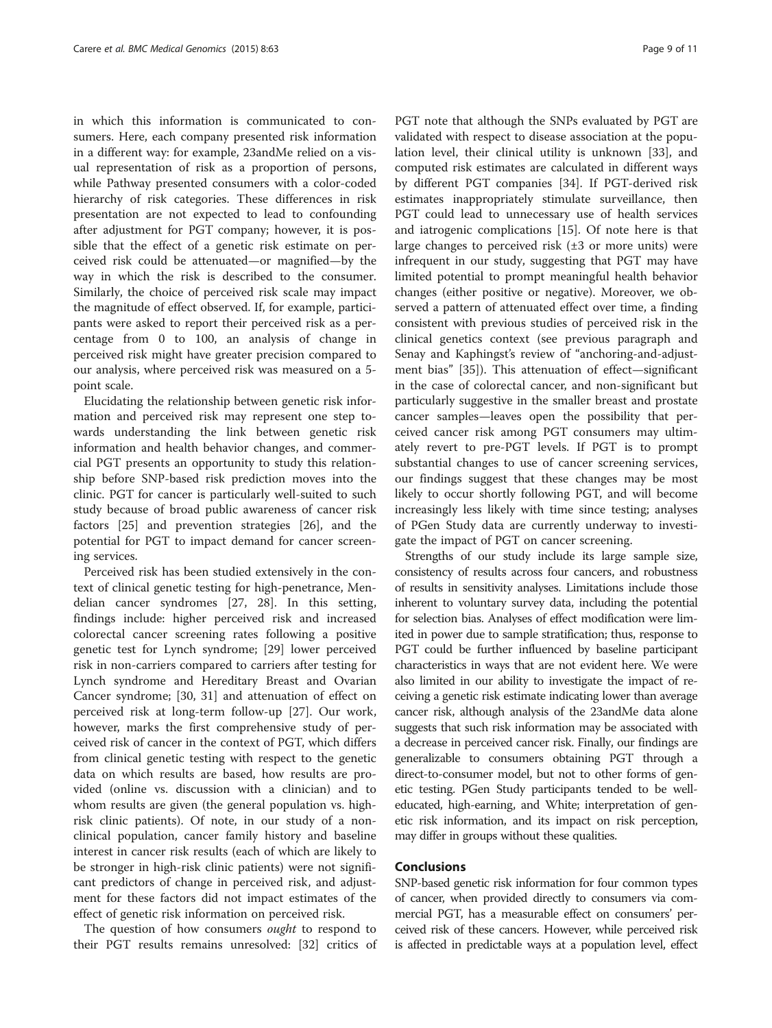in which this information is communicated to consumers. Here, each company presented risk information in a different way: for example, 23andMe relied on a visual representation of risk as a proportion of persons, while Pathway presented consumers with a color-coded hierarchy of risk categories. These differences in risk presentation are not expected to lead to confounding after adjustment for PGT company; however, it is possible that the effect of a genetic risk estimate on perceived risk could be attenuated—or magnified—by the way in which the risk is described to the consumer. Similarly, the choice of perceived risk scale may impact the magnitude of effect observed. If, for example, participants were asked to report their perceived risk as a percentage from 0 to 100, an analysis of change in perceived risk might have greater precision compared to our analysis, where perceived risk was measured on a 5 point scale.

Elucidating the relationship between genetic risk information and perceived risk may represent one step towards understanding the link between genetic risk information and health behavior changes, and commercial PGT presents an opportunity to study this relationship before SNP-based risk prediction moves into the clinic. PGT for cancer is particularly well-suited to such study because of broad public awareness of cancer risk factors [[25\]](#page-10-0) and prevention strategies [\[26\]](#page-10-0), and the potential for PGT to impact demand for cancer screening services.

Perceived risk has been studied extensively in the context of clinical genetic testing for high-penetrance, Mendelian cancer syndromes [[27, 28](#page-10-0)]. In this setting, findings include: higher perceived risk and increased colorectal cancer screening rates following a positive genetic test for Lynch syndrome; [[29](#page-10-0)] lower perceived risk in non-carriers compared to carriers after testing for Lynch syndrome and Hereditary Breast and Ovarian Cancer syndrome; [\[30, 31\]](#page-10-0) and attenuation of effect on perceived risk at long-term follow-up [[27\]](#page-10-0). Our work, however, marks the first comprehensive study of perceived risk of cancer in the context of PGT, which differs from clinical genetic testing with respect to the genetic data on which results are based, how results are provided (online vs. discussion with a clinician) and to whom results are given (the general population vs. highrisk clinic patients). Of note, in our study of a nonclinical population, cancer family history and baseline interest in cancer risk results (each of which are likely to be stronger in high-risk clinic patients) were not significant predictors of change in perceived risk, and adjustment for these factors did not impact estimates of the effect of genetic risk information on perceived risk.

The question of how consumers *ought* to respond to their PGT results remains unresolved: [\[32](#page-10-0)] critics of PGT note that although the SNPs evaluated by PGT are validated with respect to disease association at the population level, their clinical utility is unknown [\[33](#page-10-0)], and computed risk estimates are calculated in different ways by different PGT companies [\[34](#page-10-0)]. If PGT-derived risk estimates inappropriately stimulate surveillance, then PGT could lead to unnecessary use of health services and iatrogenic complications [\[15\]](#page-9-0). Of note here is that large changes to perceived risk  $(\pm 3 \text{ or more units})$  were infrequent in our study, suggesting that PGT may have limited potential to prompt meaningful health behavior changes (either positive or negative). Moreover, we observed a pattern of attenuated effect over time, a finding consistent with previous studies of perceived risk in the clinical genetics context (see previous paragraph and Senay and Kaphingst's review of "anchoring-and-adjustment bias" [\[35\]](#page-10-0)). This attenuation of effect—significant in the case of colorectal cancer, and non-significant but particularly suggestive in the smaller breast and prostate cancer samples—leaves open the possibility that perceived cancer risk among PGT consumers may ultimately revert to pre-PGT levels. If PGT is to prompt substantial changes to use of cancer screening services, our findings suggest that these changes may be most likely to occur shortly following PGT, and will become increasingly less likely with time since testing; analyses of PGen Study data are currently underway to investigate the impact of PGT on cancer screening.

Strengths of our study include its large sample size, consistency of results across four cancers, and robustness of results in sensitivity analyses. Limitations include those inherent to voluntary survey data, including the potential for selection bias. Analyses of effect modification were limited in power due to sample stratification; thus, response to PGT could be further influenced by baseline participant characteristics in ways that are not evident here. We were also limited in our ability to investigate the impact of receiving a genetic risk estimate indicating lower than average cancer risk, although analysis of the 23andMe data alone suggests that such risk information may be associated with a decrease in perceived cancer risk. Finally, our findings are generalizable to consumers obtaining PGT through a direct-to-consumer model, but not to other forms of genetic testing. PGen Study participants tended to be welleducated, high-earning, and White; interpretation of genetic risk information, and its impact on risk perception, may differ in groups without these qualities.

#### Conclusions

SNP-based genetic risk information for four common types of cancer, when provided directly to consumers via commercial PGT, has a measurable effect on consumers' perceived risk of these cancers. However, while perceived risk is affected in predictable ways at a population level, effect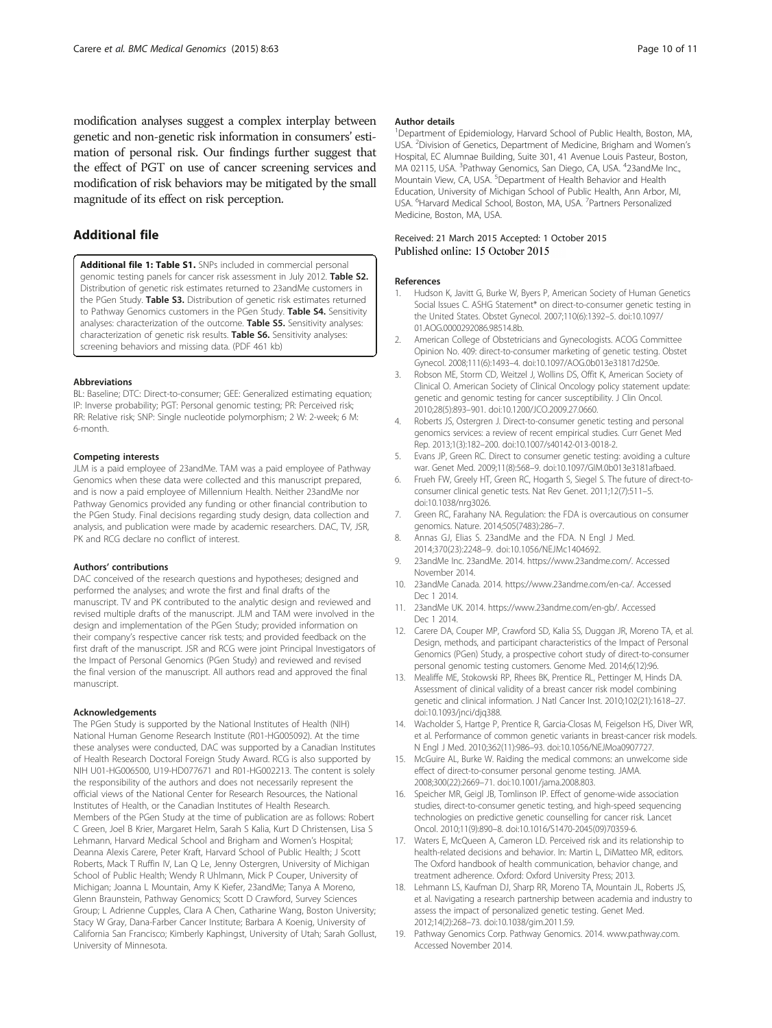<span id="page-9-0"></span>modification analyses suggest a complex interplay between genetic and non-genetic risk information in consumers' estimation of personal risk. Our findings further suggest that the effect of PGT on use of cancer screening services and modification of risk behaviors may be mitigated by the small magnitude of its effect on risk perception.

#### Additional file

[Additional file 1: Table S1.](dx.doi.org/10.1186/s12920-015-0140-y) SNPs included in commercial personal genomic testing panels for cancer risk assessment in July 2012. Table S2. Distribution of genetic risk estimates returned to 23andMe customers in the PGen Study. Table S3. Distribution of genetic risk estimates returned to Pathway Genomics customers in the PGen Study. Table S4. Sensitivity analyses: characterization of the outcome. Table S5. Sensitivity analyses: characterization of genetic risk results. Table S6. Sensitivity analyses: screening behaviors and missing data. (PDF 461 kb)

#### Abbreviations

BL: Baseline; DTC: Direct-to-consumer; GEE: Generalized estimating equation; IP: Inverse probability; PGT: Personal genomic testing; PR: Perceived risk; RR: Relative risk; SNP: Single nucleotide polymorphism; 2 W: 2-week; 6 M: 6-month.

#### Competing interests

JLM is a paid employee of 23andMe. TAM was a paid employee of Pathway Genomics when these data were collected and this manuscript prepared, and is now a paid employee of Millennium Health. Neither 23andMe nor Pathway Genomics provided any funding or other financial contribution to the PGen Study. Final decisions regarding study design, data collection and analysis, and publication were made by academic researchers. DAC, TV, JSR, PK and RCG declare no conflict of interest.

#### Authors' contributions

DAC conceived of the research questions and hypotheses; designed and performed the analyses; and wrote the first and final drafts of the manuscript. TV and PK contributed to the analytic design and reviewed and revised multiple drafts of the manuscript. JLM and TAM were involved in the design and implementation of the PGen Study; provided information on their company's respective cancer risk tests; and provided feedback on the first draft of the manuscript. JSR and RCG were joint Principal Investigators of the Impact of Personal Genomics (PGen Study) and reviewed and revised the final version of the manuscript. All authors read and approved the final manuscript.

#### Acknowledgements

The PGen Study is supported by the National Institutes of Health (NIH) National Human Genome Research Institute (R01-HG005092). At the time these analyses were conducted, DAC was supported by a Canadian Institutes of Health Research Doctoral Foreign Study Award. RCG is also supported by NIH U01-HG006500, U19-HD077671 and R01-HG002213. The content is solely the responsibility of the authors and does not necessarily represent the official views of the National Center for Research Resources, the National Institutes of Health, or the Canadian Institutes of Health Research. Members of the PGen Study at the time of publication are as follows: Robert C Green, Joel B Krier, Margaret Helm, Sarah S Kalia, Kurt D Christensen, Lisa S Lehmann, Harvard Medical School and Brigham and Women's Hospital; Deanna Alexis Carere, Peter Kraft, Harvard School of Public Health; J Scott Roberts, Mack T Ruffin IV, Lan Q Le, Jenny Ostergren, University of Michigan School of Public Health; Wendy R Uhlmann, Mick P Couper, University of Michigan; Joanna L Mountain, Amy K Kiefer, 23andMe; Tanya A Moreno, Glenn Braunstein, Pathway Genomics; Scott D Crawford, Survey Sciences Group; L Adrienne Cupples, Clara A Chen, Catharine Wang, Boston University; Stacy W Gray, Dana-Farber Cancer Institute; Barbara A Koenig, University of California San Francisco; Kimberly Kaphingst, University of Utah; Sarah Gollust, University of Minnesota.

#### Author details

<sup>1</sup>Department of Epidemiology, Harvard School of Public Health, Boston, MA, USA. <sup>2</sup> Division of Genetics, Department of Medicine, Brigham and Women's Hospital, EC Alumnae Building, Suite 301, 41 Avenue Louis Pasteur, Boston, MA 02115, USA. <sup>3</sup>Pathway Genomics, San Diego, CA, USA. <sup>4</sup>23andMe Inc. Mountain View, CA, USA.<sup>5</sup> Department of Health Behavior and Health Education, University of Michigan School of Public Health, Ann Arbor, MI, USA. <sup>6</sup>Harvard Medical School, Boston, MA, USA. <sup>7</sup>Partners Personalized Medicine, Boston, MA, USA.

#### Received: 21 March 2015 Accepted: 1 October 2015 Published online: 15 October 2015

#### References

- 1. Hudson K, Javitt G, Burke W, Byers P, American Society of Human Genetics Social Issues C. ASHG Statement\* on direct-to-consumer genetic testing in the United States. Obstet Gynecol. 2007;110(6):1392–5. doi:[10.1097/](http://dx.doi.org/10.1097/01.AOG.0000292086.98514.8b) [01.AOG.0000292086.98514.8b](http://dx.doi.org/10.1097/01.AOG.0000292086.98514.8b).
- 2. American College of Obstetricians and Gynecologists. ACOG Committee Opinion No. 409: direct-to-consumer marketing of genetic testing. Obstet Gynecol. 2008;111(6):1493–4. doi:[10.1097/AOG.0b013e31817d250e.](http://dx.doi.org/10.1097/AOG.0b013e31817d250e)
- 3. Robson ME, Storm CD, Weitzel J, Wollins DS, Offit K, American Society of Clinical O. American Society of Clinical Oncology policy statement update: genetic and genomic testing for cancer susceptibility. J Clin Oncol. 2010;28(5):893–901. doi[:10.1200/JCO.2009.27.0660](http://dx.doi.org/10.1200/JCO.2009.27.0660).
- 4. Roberts JS, Ostergren J. Direct-to-consumer genetic testing and personal genomics services: a review of recent empirical studies. Curr Genet Med Rep. 2013;1(3):182–200. doi[:10.1007/s40142-013-0018-2](http://dx.doi.org/10.1007/s40142-013-0018-2).
- 5. Evans JP, Green RC. Direct to consumer genetic testing: avoiding a culture war. Genet Med. 2009;11(8):568–9. doi:[10.1097/GIM.0b013e3181afbaed](http://dx.doi.org/10.1097/GIM.0b013e3181afbaed).
- Frueh FW, Greely HT, Green RC, Hogarth S, Siegel S. The future of direct-toconsumer clinical genetic tests. Nat Rev Genet. 2011;12(7):511–5. doi[:10.1038/nrg3026.](http://dx.doi.org/10.1038/nrg3026)
- 7. Green RC, Farahany NA. Regulation: the FDA is overcautious on consumer genomics. Nature. 2014;505(7483):286–7.
- 8. Annas GJ, Elias S. 23andMe and the FDA. N Engl J Med. 2014;370(23):2248–9. doi:[10.1056/NEJMc1404692](http://dx.doi.org/10.1056/NEJMc1404692).
- 9. 23andMe Inc. 23andMe. 2014.<https://www.23andme.com/>. Accessed November 2014.
- 10. 23andMe Canada. 2014.<https://www.23andme.com/en-ca/>. Accessed Dec 1 2014.
- 11. 23andMe UK. 2014.<https://www.23andme.com/en-gb/>. Accessed Dec 1 2014.
- 12. Carere DA, Couper MP, Crawford SD, Kalia SS, Duggan JR, Moreno TA, et al. Design, methods, and participant characteristics of the Impact of Personal Genomics (PGen) Study, a prospective cohort study of direct-to-consumer personal genomic testing customers. Genome Med. 2014;6(12):96.
- 13. Mealiffe ME, Stokowski RP, Rhees BK, Prentice RL, Pettinger M, Hinds DA. Assessment of clinical validity of a breast cancer risk model combining genetic and clinical information. J Natl Cancer Inst. 2010;102(21):1618–27. doi[:10.1093/jnci/djq388.](http://dx.doi.org/10.1093/jnci/djq388)
- 14. Wacholder S, Hartge P, Prentice R, Garcia-Closas M, Feigelson HS, Diver WR, et al. Performance of common genetic variants in breast-cancer risk models. N Engl J Med. 2010;362(11):986–93. doi:[10.1056/NEJMoa0907727](http://dx.doi.org/10.1056/NEJMoa0907727).
- 15. McGuire AL, Burke W. Raiding the medical commons: an unwelcome side effect of direct-to-consumer personal genome testing. JAMA. 2008;300(22):2669–71. doi[:10.1001/jama.2008.803](http://dx.doi.org/10.1001/jama.2008.803).
- 16. Speicher MR, Geigl JB, Tomlinson IP. Effect of genome-wide association studies, direct-to-consumer genetic testing, and high-speed sequencing technologies on predictive genetic counselling for cancer risk. Lancet Oncol. 2010;11(9):890–8. doi:[10.1016/S1470-2045\(09\)70359-6.](http://dx.doi.org/10.1016/S1470-2045(09)70359-6)
- 17. Waters E, McQueen A, Cameron LD. Perceived risk and its relationship to health-related decisions and behavior. In: Martin L, DiMatteo MR, editors. The Oxford handbook of health communication, behavior change, and treatment adherence. Oxford: Oxford University Press; 2013.
- 18. Lehmann LS, Kaufman DJ, Sharp RR, Moreno TA, Mountain JL, Roberts JS, et al. Navigating a research partnership between academia and industry to assess the impact of personalized genetic testing. Genet Med. 2012;14(2):268–73. doi:[10.1038/gim.2011.59](http://dx.doi.org/10.1038/gim.2011.59).
- 19. Pathway Genomics Corp. Pathway Genomics. 2014. [www.pathway.com](http://www.pathway.com/). Accessed November 2014.